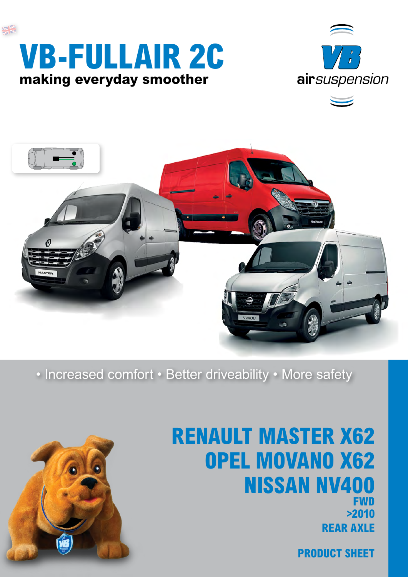





• Increased comfort • Better driveability • More safety



## **Renault Master X62 Opel Movano X62 Nissan NV400 FWD >2010 rear axle**

**product sheet**